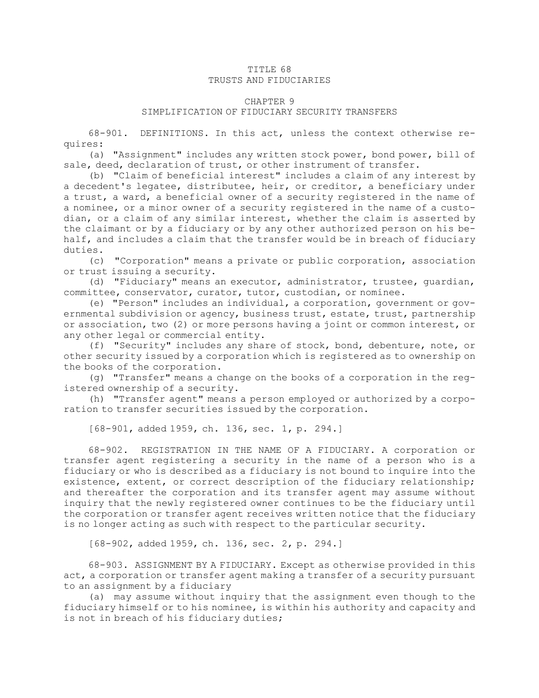## TITLE 68 TRUSTS AND FIDUCIARIES

## CHAPTER 9

## SIMPLIFICATION OF FIDUCIARY SECURITY TRANSFERS

68-901. DEFINITIONS. In this act, unless the context otherwise requires:

(a) "Assignment" includes any written stock power, bond power, bill of sale, deed, declaration of trust, or other instrument of transfer.

(b) "Claim of beneficial interest" includes <sup>a</sup> claim of any interest by <sup>a</sup> decedent's legatee, distributee, heir, or creditor, <sup>a</sup> beneficiary under <sup>a</sup> trust, <sup>a</sup> ward, <sup>a</sup> beneficial owner of <sup>a</sup> security registered in the name of <sup>a</sup> nominee, or <sup>a</sup> minor owner of <sup>a</sup> security registered in the name of <sup>a</sup> custodian, or <sup>a</sup> claim of any similar interest, whether the claim is asserted by the claimant or by <sup>a</sup> fiduciary or by any other authorized person on his behalf, and includes <sup>a</sup> claim that the transfer would be in breach of fiduciary duties.

(c) "Corporation" means <sup>a</sup> private or public corporation, association or trust issuing <sup>a</sup> security.

(d) "Fiduciary" means an executor, administrator, trustee, guardian, committee, conservator, curator, tutor, custodian, or nominee.

(e) "Person" includes an individual, <sup>a</sup> corporation, government or governmental subdivision or agency, business trust, estate, trust, partnership or association, two (2) or more persons having <sup>a</sup> joint or common interest, or any other legal or commercial entity.

(f) "Security" includes any share of stock, bond, debenture, note, or other security issued by <sup>a</sup> corporation which is registered as to ownership on the books of the corporation.

(g) "Transfer" means <sup>a</sup> change on the books of <sup>a</sup> corporation in the registered ownership of <sup>a</sup> security.

(h) "Transfer agent" means <sup>a</sup> person employed or authorized by <sup>a</sup> corporation to transfer securities issued by the corporation.

[68-901, added 1959, ch. 136, sec. 1, p. 294.]

68-902. REGISTRATION IN THE NAME OF <sup>A</sup> FIDUCIARY. <sup>A</sup> corporation or transfer agent registering <sup>a</sup> security in the name of <sup>a</sup> person who is <sup>a</sup> fiduciary or who is described as <sup>a</sup> fiduciary is not bound to inquire into the existence, extent, or correct description of the fiduciary relationship; and thereafter the corporation and its transfer agent may assume without inquiry that the newly registered owner continues to be the fiduciary until the corporation or transfer agent receives written notice that the fiduciary is no longer acting as such with respect to the particular security.

[68-902, added 1959, ch. 136, sec. 2, p. 294.]

68-903. ASSIGNMENT BY <sup>A</sup> FIDUCIARY. Except as otherwise provided in this act, <sup>a</sup> corporation or transfer agent making <sup>a</sup> transfer of <sup>a</sup> security pursuant to an assignment by <sup>a</sup> fiduciary

(a) may assume without inquiry that the assignment even though to the fiduciary himself or to his nominee, is within his authority and capacity and is not in breach of his fiduciary duties;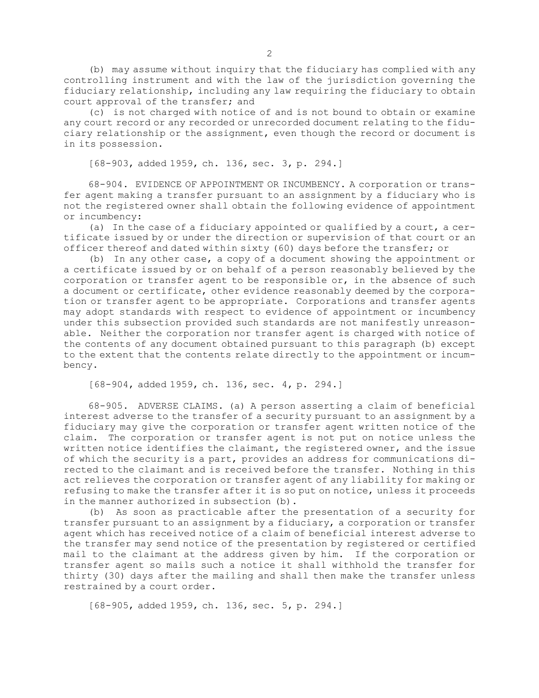(b) may assume without inquiry that the fiduciary has complied with any controlling instrument and with the law of the jurisdiction governing the fiduciary relationship, including any law requiring the fiduciary to obtain court approval of the transfer; and

(c) is not charged with notice of and is not bound to obtain or examine any court record or any recorded or unrecorded document relating to the fiduciary relationship or the assignment, even though the record or document is in its possession.

[68-903, added 1959, ch. 136, sec. 3, p. 294.]

68-904. EVIDENCE OF APPOINTMENT OR INCUMBENCY. <sup>A</sup> corporation or transfer agent making <sup>a</sup> transfer pursuant to an assignment by <sup>a</sup> fiduciary who is not the registered owner shall obtain the following evidence of appointment or incumbency:

(a) In the case of <sup>a</sup> fiduciary appointed or qualified by <sup>a</sup> court, <sup>a</sup> certificate issued by or under the direction or supervision of that court or an officer thereof and dated within sixty (60) days before the transfer; or

(b) In any other case, <sup>a</sup> copy of <sup>a</sup> document showing the appointment or <sup>a</sup> certificate issued by or on behalf of <sup>a</sup> person reasonably believed by the corporation or transfer agent to be responsible or, in the absence of such <sup>a</sup> document or certificate, other evidence reasonably deemed by the corporation or transfer agent to be appropriate. Corporations and transfer agents may adopt standards with respect to evidence of appointment or incumbency under this subsection provided such standards are not manifestly unreasonable. Neither the corporation nor transfer agent is charged with notice of the contents of any document obtained pursuant to this paragraph (b) except to the extent that the contents relate directly to the appointment or incumbency.

[68-904, added 1959, ch. 136, sec. 4, p. 294.]

68-905. ADVERSE CLAIMS. (a) <sup>A</sup> person asserting <sup>a</sup> claim of beneficial interest adverse to the transfer of <sup>a</sup> security pursuant to an assignment by <sup>a</sup> fiduciary may give the corporation or transfer agent written notice of the claim. The corporation or transfer agent is not put on notice unless the written notice identifies the claimant, the registered owner, and the issue of which the security is <sup>a</sup> part, provides an address for communications directed to the claimant and is received before the transfer. Nothing in this act relieves the corporation or transfer agent of any liability for making or refusing to make the transfer after it is so put on notice, unless it proceeds in the manner authorized in subsection (b).

(b) As soon as practicable after the presentation of <sup>a</sup> security for transfer pursuant to an assignment by <sup>a</sup> fiduciary, <sup>a</sup> corporation or transfer agent which has received notice of <sup>a</sup> claim of beneficial interest adverse to the transfer may send notice of the presentation by registered or certified mail to the claimant at the address given by him. If the corporation or transfer agent so mails such <sup>a</sup> notice it shall withhold the transfer for thirty (30) days after the mailing and shall then make the transfer unless restrained by <sup>a</sup> court order.

[68-905, added 1959, ch. 136, sec. 5, p. 294.]